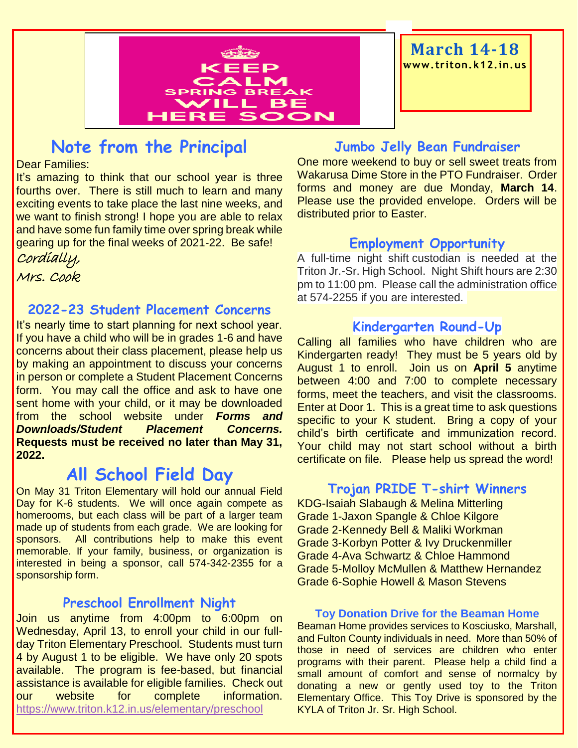

**March 14-18 www. triton.k12.in.us**

## **Note from the Principal**

Dear Families:

It's amazing to think that our school year is three fourths over. There is still much to learn and many exciting events to take place the last nine weeks, and we want to finish strong! I hope you are able to relax and have some fun family time over spring break while gearing up for the final weeks of 2021-22. Be safe! Cordially,

Mrs. Cook

#### **2022-23 Student Placement Concerns**

It's nearly time to start planning for next school year. If you have a child who will be in grades 1-6 and have concerns about their class placement, please help us by making an appointment to discuss your concerns in person or complete a Student Placement Concerns form. You may call the office and ask to have one sent home with your child, or it may be downloaded from the school website under *Forms and Downloads/Student Placement Concerns.*  **Requests must be received no later than May 31, 2022.**

## **All School Field Day**

On May 31 Triton Elementary will hold our annual Field Day for K-6 students. We will once again compete as homerooms, but each class will be part of a larger team made up of students from each grade. We are looking for sponsors. All contributions help to make this event memorable. If your family, business, or organization is interested in being a sponsor, call 574-342-2355 for a sponsorship form.

#### **Preschool Enrollment Night**

Join us anytime from 4:00pm to 6:00pm on Wednesday, April 13, to enroll your child in our fullday Triton Elementary Preschool. Students must turn 4 by August 1 to be eligible. We have only 20 spots available. The program is fee-based, but financial assistance is available for eligible families. Check out our website for complete information. <https://www.triton.k12.in.us/elementary/preschool>

#### **Jumbo Jelly Bean Fundraiser**

One more weekend to buy or sell sweet treats from Wakarusa Dime Store in the PTO Fundraiser. Order forms and money are due Monday, **March 14**. Please use the provided envelope. Orders will be distributed prior to Easter.

#### **Employment Opportunity**

A full-time night shift custodian is needed at the Triton Jr.-Sr. High School. Night Shift hours are 2:30 pm to 11:00 pm. Please call the administration office at 574-2255 if you are interested.

#### **Kindergarten Round-Up**

Calling all families who have children who are Kindergarten ready! They must be 5 years old by August 1 to enroll. Join us on **April 5** anytime between 4:00 and 7:00 to complete necessary forms, meet the teachers, and visit the classrooms. Enter at Door 1. This is a great time to ask questions specific to your K student. Bring a copy of your child's birth certificate and immunization record. Your child may not start school without a birth certificate on file. Please help us spread the word!

#### **Trojan PRIDE T-shirt Winners**

KDG-Isaiah Slabaugh & Melina Mitterling Grade 1-Jaxon Spangle & Chloe Kilgore Grade 2-Kennedy Bell & Maliki Workman Grade 3-Korbyn Potter & Ivy Druckenmiller Grade 4-Ava Schwartz & Chloe Hammond Grade 5-Molloy McMullen & Matthew Hernandez Grade 6-Sophie Howell & Mason Stevens

#### **Toy Donation Drive for the Beaman Home**

Beaman Home provides services to Kosciusko, Marshall, and Fulton County individuals in need. More than 50% of those in need of services are children who enter programs with their parent. Please help a child find a small amount of comfort and sense of normalcy by donating a new or gently used toy to the Triton Elementary Office. This Toy Drive is sponsored by the KYLA of Triton Jr. Sr. High School.